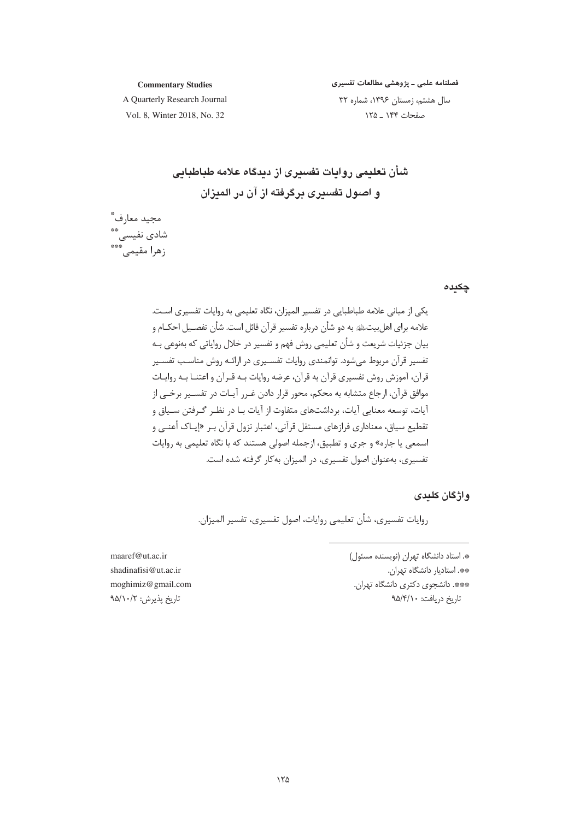#### **Commentary Studies**

فصلنامه علمی <mark>ـ پژوهشی مطالعات تفسیری</mark>

A Quarterly Research Journal Vol. 8, Winter 2018, No. 32

سال هشتم، زمستان ۱۳۹۶، شماره ۳۲ صفحات ۱۴۴ \_ ۱۲۵

**cBcB
D#G?59((\$- 3x 3(` (\$53X9(
;G) o0s(**

مجيد معارف ٌ شادی نفیسی\*\* زهرا مقيمي\*\*\*

#### چكيده

یکی از مبانی علامه طباطبایی در تفسیر المیزان، نگاه تعلیمی به روایات تفسیری اسـت. علامه برای اهلبیتﷺ به دو شأن درباره تفسیر قرآن قائل است. شأن تفصـیل احکــام و بیان جزئیات شریعت و شأن تعلیمی روش فهم و تفسیر در خلال روایاتی که بهنوعی بــه تفسیر قرآن مربوط میشود. توانمندی روایات تفسـیری در ارائـه روش مناسـب تفسـیر قرآن، آموزش روش تفسیری قرآن به قرآن، عرضه روایات بـه قـرآن و اعتنـا بـه روایـات موافق قرآن، ارجاع متشابه به محكم، محور قرار دادن غـرر آيــات در تفســير برخــي از أيات، توسعه معنايي أيات، برداشتهاي متفاوت از أيات بـا در نظـر گـرفتن ســياق و نقطیع سیاق، معناداری فرازهای مستقل قرآنی، اعتبار نزول قرآن بـر «إیـاک أعنــي و سمعی یا جاره» و جری و تطبیق، ازجمله اصولی هستند که با نگاه تعلیمی به روایات نفسیری، بهعنوان اصول تفسیری، در المیزان بهکار گرفته شده است.

#### **واژگان کلید**ی

روايات تفسيري، شأن تعليمي روايات، اصول تفسيري، تفسير الميزان.

maaref@ut.ac.ir shadinafisi@ut.ac.ir moghimiz@gmail.com -تاريخ پذيرش: ٩۵/١٠/٢

». استاد دانشگاه تهران (نویسنده مسئول) \*\*. استاديار دانشگاه تهران. \*\*\*. دانشجوی دکتری دانشگاه تهران. تاريخ دريافت: ٩۵/۴/۱۰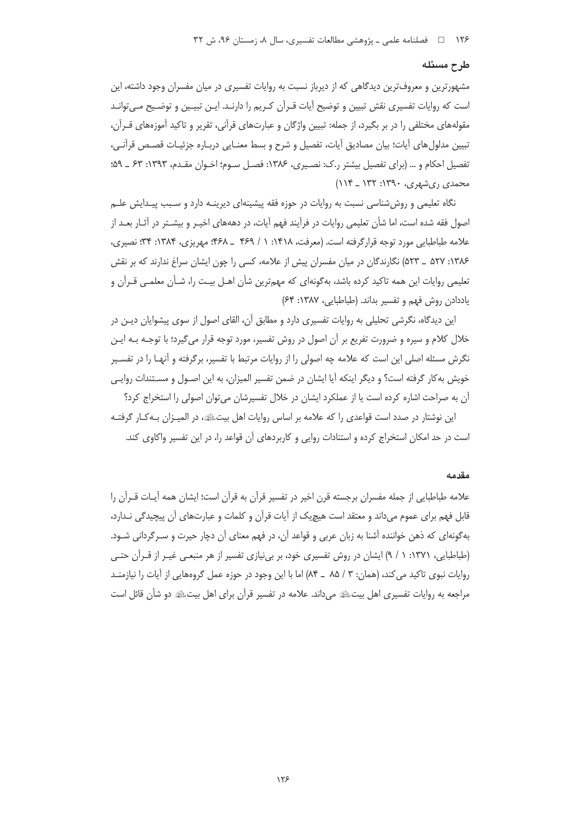#### طرح مسئله

مشهورترین و معروف ترین دیدگاهی که از دیرباز نسبت به روایات تفسیری در میان مفسران وجود داشته، این است که روایات تفسیری نقش تبیین و توضیح آیات قـرآن کـریم را دارنـد. ایـن تبیـین و توضـیح مـی توانـد مقولههای مختلفی را در بر بگیرد، از جمله: تبیین واژگان و عبارتهای قرآنی، تقریر و تاکید آموزههای قــرآن، تبيين مدلولهاي آيات؛ بيان مصاديق آيات، تفصيل و شرح و بسط معنـايي دربـاره جزئيـات قصـص قرآنـي، تفصيل احكام و … (براي تفصيل بيشتر ر.ك: نصيري، ١٣٨۶: فصـل سـوم؛ اخـوان مقـدم، ١٣٩٣: ٤٣ \_ ۵٩؛ محمدی ریشهری، ۱۳۹۰: ۱۳۲ ـ ۱۱۴)

نگاه تعلیمی و روش شناسی نسبت به روایات در حوزه فقه پیشینهای دیرینـه دارد و سـبب پیـدایش علـم اصول فقه شده است، اما شأن تعليمي روايات در فرآيند فهم آيات، در دهههاي اخيـر و بيشــتر در آثــار بعــد از علامه طباطبایی مورد توجه قرارگرفته است. (معرفت، ۱۴۱۸: ۱ / ۴۶۹ \_ ۴۶۸: مهریزی، ۱۳۸۴: ۳۴: نصیری، ۱۳۸۶: ۵۲۷ \_ ۵۲۳) نگارندگان در میان مفسران پیش از علامه، کسی را چون ایشان سراغ ندارند که بر نقش تعلیمی روایات این همه تاکید کرده باشد، بهگونهای که مهمترین شأن اهـل بیـت را، شـأن معلمــ ، قـرآن و ياددادن روش فهم وتفسير بداند. (طباطبايي، ١٣٨٧: ۶۴)

این دیدگاه، نگرشی تحلیلی به روایات تفسیری دارد و مطابق آن، القای اصول از سوی پیشوایان دیـن در خلال کلام و سیره و ضرورت تفریع بر آن اصول در روش تفسیر، مورد توجه قرار میگیرد؛ با توجـه بـه ایـن نگرش مسئله اصلی این است که علامه چه اصولی را از روایات مرتبط با تفسیر، برگرفته و آنهـا را در تفسـیر خويش به كار گرفته است؟ و ديگر اينكه آيا ايشان در ضمن تفسير الميزان، به اين اصـول و مسـتندات روايـي آن به صراحت اشاره کرده است یا از عملکرد ایشان در خلال تفسیرشان می توان اصولی را استخراج کرد؟

این نوشتار در صدد است قواعدی را که علامه بر اساس روایات اهل بیتﷺ، در المیـزان بـه کـار گرفتـه است در حد امکان استخراج کرده و استنادات روایی و کاربردهای آن قواعد را، در این تفسیر واکاوی کند.

#### مقدمه

علامه طباطبایی از جمله مفسران برجسته قرن اخیر در تفسیر قرآن به قرآن است؛ ایشان همه آیـات قــرآن را قابل فهم برای عموم میداند و معتقد است هیچیک از آیات قرآن و کلمات و عبارتهای آن پیچیدگی نـدارد، بهگونهای که ذهن خواننده آشنا به زبان عربی و قواعد آن، در فهم معنای آن دچار حیرت و سـرگردانی شـود. (طباطبایی، ۱۳۷۱: ۱ / ۹) ایشان در روش تفسیری خود، بر بی نیازی تفسیر از هر منبعی غیـر از قـرآن حتـی روايات نبوي تاكيد مي كند، (همان: ٣ / ٨٥ \_ ٨۴) اما با اين وجود در حوزه عمل گروههايي از آيات را نيازمنـد مراجعه به روایات تفسیری اهل بیتﷺ میداند. علامه در تفسیر قرآن برای اهل بیتﷺ دو شأن قائل است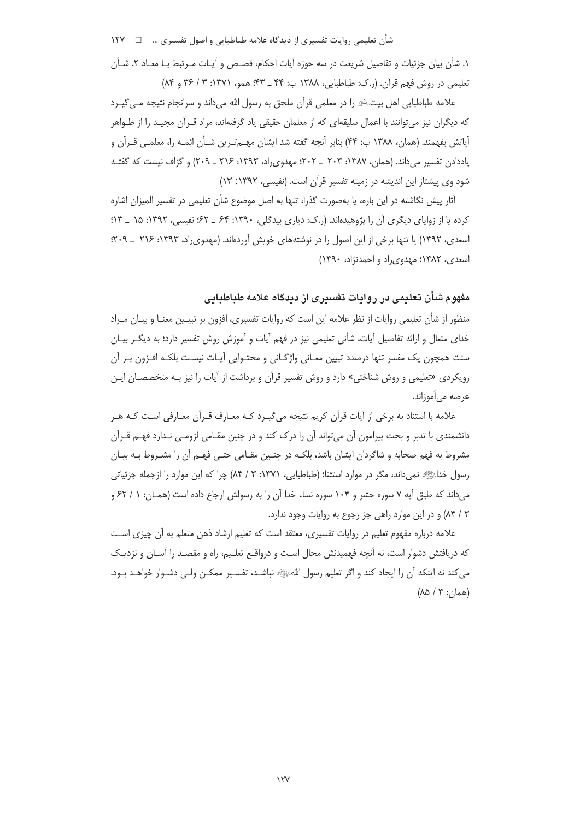شأن تعليمي روايات تفسيري از ديدگاه علامه طباطبايي و اصول تفسيري … □ ١٢٧

١. شأن بيان جزئيات و تفاصيل شريعت در سه حوزه آيات احكام، قصـص و آيـات مـرتبط بـا معـاد ٢. شـأن تعليمي در روش فهم قرآن. (ر.ک: طباطبايي، ١٣٨٨ ب: ۴۴ \_ ۴۳: همو، ١٣٧١: ٣ / ٣۶ و ٨۴)

علامه طباطبایی اهل بیتﷺ را در معلمی قرآن ملحق به رسول الله می داند و سرانجام نتیجه مـی گیـرد که دیگران نیز می توانند با اعمال سلیقهای که از معلمان حقیقی یاد گرفتهاند، مراد قــرآن مجیــد را از ظــواهر آياتش بفهمند. (همان، ١٣٨٨ ب: ۴۴) بنابر آنچه گفته شد ايشان مهـمتـرين شـأن ائمـه را، معلمـي قـرآن و یاددادن تفسیر میداند. (همان، ۱۳۸۷: ۲۰۳ \_ ۲۰۲؛ مهدوی راد، ۱۳۹۳: ۲۱۶ \_ ۲۰۹) و گزاف نیست که گفتـه شود وی پیشتاز این اندیشه در زمینه تفسیر قرآن است. (نفیسی، ۱۳۹۲: ۱۳)

آثار پیش نگاشته در این باره، یا بهصورت گذرا، تنها به اصل موضوع شأن تعلیمی در تفسیر المیزان اشاره کرده یا از زوایای دیگری آن را پژوهیدهاند. (ر.ک: دیاری پیدگلی، ۱۳۹۰: ۶۴ ـ ۶۲؛ نفیسی، ۱۳۹۲: ۱۵ ـ ۱۳: اسعدی، ۱۳۹۲) یا تنها برخی از این اصول را در نوشتههای خویش آوردهاند. (مهدوی راد، ۱۳۹۳: ۲۱۶ \_ ۲۰۹: اسعدی، ۱۳۸۲؛ مهدوی راد و احمدنژاد، ۱۳۹۰)

مفهوم شأن تعلیمی در روایات تفسیری از دیدگاه علامه طباطبایی

منظور از شأن تعليمي روايات از نظر علامه اين است كه روايات تفسيري، افزون بر تبيـين معنـا و بيـان مـراد خدای متعال و ارائه تفاصیل آیات، شأنی تعلیمی نیز در فهم آیات و آموزش روش تفسیر دارد؛ به دیگـر بیـان سنت همچون یک مفسر تنها درصدد تبیین معـانی واژگـانی و محتـوایی آیـات نیسـت بلکـه افـزون بـر آن رویکردی «تعلیمی و روش شناختی» دارد و روش تفسیر قرآن و برداشت از آیات را نیز بـه متخصصـان ایـن عرصه مي آموزاند.

علامه با استناد به برخی از آیات قرآن کریم نتیجه میگیـرد کـه معـارف قـرآن معـارفی اسـت کـه هـر دانشمندی با تدبر و بحث پیرامون آن می تواند آن را درک کند و در چنین مقـامی لزومـی نـدارد فهـم قـرآن مشروط به فهم صحابه و شاگردان ایشان باشد، بلکـه در چنـین مقـامی حتـی فهـم آن را مشـروط بـه بیـان رسول خداءً، نمیداند، مگر در موارد استثنا؛ (طباطبایی، ۱۳۷۱: ۳ / ۸۴) چرا که این موارد را ازجمله جزئیاتی می داند که طبق آیه ۷ سوره حشر و ۱۰۴ سوره نساء خدا آن را به رسولش ارجاع داده است (همـان: ۱ / ۶۲ و ۸۴ / ۸۴) و در این موارد راهی جز رجوع به روایات وجود ندارد.

علامه درباره مفهوم تعلیم در روایات تفسیری، معتقد است که تعلیم ارشاد ذهن متعلم به آن چیزی است که دریافتش دشوار است، نه آنچه فهمیدنش محال است و درواقـع تعلـیم، راه و مقصـد را آسـان و نزدیـک می کند نه اینکه آن را ایجاد کند و اگر تعلیم رسول اللهﷺ نباشـد، تفسـیر ممکـن ولـی دشـوار خواهـد بـود.  $(AA \mid Y; \cdot)$ همان)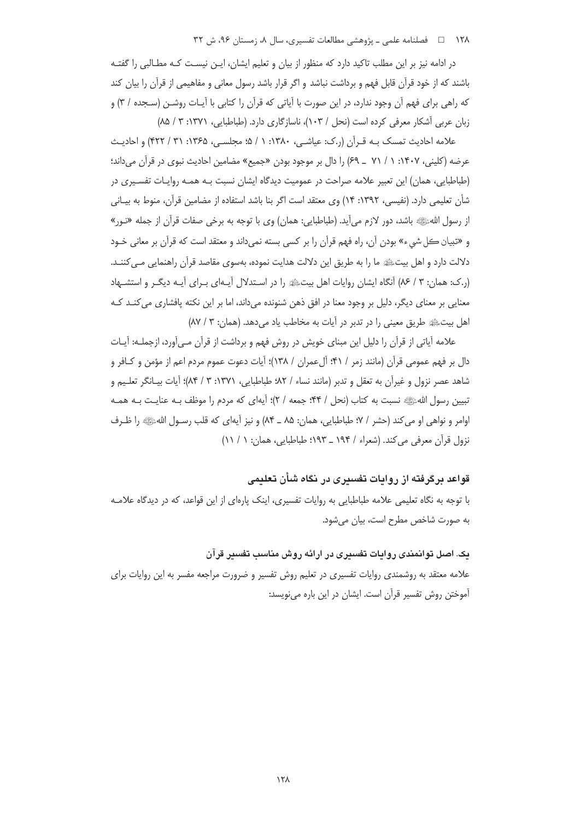## ۱۲۸ = فصلنامه علمی ـ پژوهشی مطالعات تفسیری، سال ۸، زمستان ۹۶، ش ۳۲

در ادامه نیز بر این مطلب تاکید دارد که منظور از بیان و تعلیم ایشان، ایـن نیسـت کـه مطـالبی را گفتـه باشند که از خود قرآن قابل فهم و برداشت نباشد و اگر قرار باشد رسول معانی و مفاهیمی از قرآن را بیان کند که راهی برای فهم آن وجود ندارد، در این صورت با آیاتی که قرآن را کتابی با آیـات روشـن (سـجده / ۳) و زبان عربی آشکار معرفی کرده است (نحل / ۱۰۳)، ناسازگاری دارد. (طباطبایی، ۱۳۷۱: ۳ / ۸۵)

علامه احاديث تمسك بـه قـرآن (ر.ک: عياشـي، ١٣٨٠: ١ / ۵؛ مجلسـي، ١٣۶۵: ٣١ / ۴۲۲) و احاديـث عرضه (کلینی، ۱۴۰۷: ۱ / ۷۱ \_ ۶۹) را دال بر موجود بودن «جمیع» مضامین احادیث نبوی در قرآن میداند؛ (طباطبایی، همان) این تعبیر علامه صراحت در عمومیت دیدگاه ایشان نسبت بـه همـه روایـات تفسـیری در شأن تعليمي دارد. (نفيسي، ١٣٩٢: ١۴) وي معتقد است اگر بنا باشد استفاده از مضامين قرآن، منوط به بيـاني از رسول اللهﷺ باشد، دور لازم مي]يد. (طباطبايي: همان) وي با توجه به برخي صفات قرأن از جمله «نـور» و «تبيان ڪل شيء» بودن آن، راه فهم قرآن را بر کسي بسته نمي داند و معتقد است که قرآن بر معاني خـود دلالت دارد و اهل بیتﷺ ما را به طریق این دلالت هدایت نموده، بهسوی مقاصد قرآن راهنمایی مے کننـد. (ر.ک: همان: ٣ / ٨۶) آنگاه ایشان روایات اهل بیت، و در استدلال آیـهای بـرای آیـه دیگـر و استشـهاد معنایی بر معنای دیگر، دلیل بر وجود معنا در افق ذهن شنونده میداند، اما بر این نکته پافشاری می کنـد کـه اهل بيت ﷺ طريق معيني را در تدبر در آيات به مخاطب ياد مي دهد. (همان: ٣ / ٨٧)

علامه آیاتی از قرآن را دلیل این مبنای خویش در روش فهم و برداشت از قرآن مـیآورد، ازجملـه: آیـات دال بر فهم عمومی قرآن (مانند زمر / ۴۱؛ ألءمران / ۱۳۸)؛ أيات دعوت عموم مردم اعم از مؤمن و كـافر و شاهد عصر نزول و غيراًن به تعقل و تدبر (مانند نساء / ٨٢؛ طباطبايي، ١٣٧١: ٣ / ٨۴)؛ آيات بيـانگر تعلـيم و تبیین رسول اللهﷺ نسبت به کتاب (نحل / ۴۴؛ جمعه / ۲)؛ آیهای که مردم را موظف بـه عنایـت بـه همـه اوامر و نواهي او مي كند (حشر / ٧؛ طباطبايي، همان: ٨۵ ـ ٨۴) و نيز آيهاي كه قلب رسـول اللهﷺ را ظـرف نزول قرآن معرفی می کند. (شعراء / ۱۹۴ \_ ۱۹۳: طباطبایی، همان: ۱ / ۱۱)

قواعد برگرفته از روایات تفسیری در نگاه شأن تعلیمی با توجه به نگاه تعلیمی علامه طباطبایی به روایات تفسیری، اینک پارهای از این قواعد، که در دیدگاه علامـه به صورت شاخص مطرح است، بیان میشود.

یک. اصل توانمندی روایات تفسیری در ارائه روش مناسب تفسیر قرآن علامه معتقد به روشمندی روایات تفسیری در تعلیم روش تفسیر و ضرورت مراجعه مفسر به این روایات برای آموختن روش تفسیر قرآن است. ایشان در این باره می نویسد: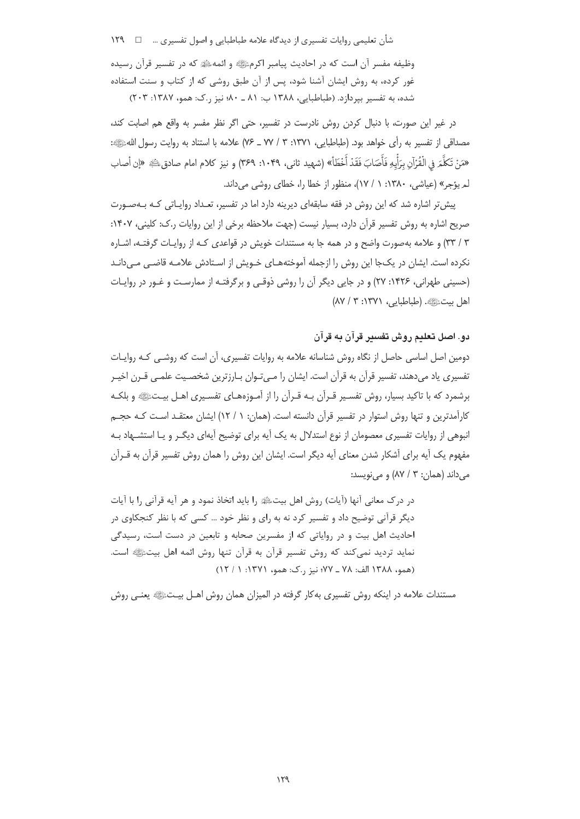شأن تعليمي روايات تفسيري از ديدگاه علامه طباطبايي و اصول تفسيري …  $\Box$  ١٢٩

وظیفه مفسر آن است که در احادیث پیامبر اکرمﷺ و ائمهﷺ که در تفسیر قرآن رسیده غور کرده، به روش ایشان آشنا شود، پس از آن طبق روشی که از کتاب و سنت استفاده شده، به تفسیر بپردازد. (طباطبایی، ۱۳۸۸ ب: ۸۱ ـ ۸۰؛ نیز ر.ک: همو، ۱۳۸۷: ۲۰۳)

در غیر این صورت، با دنبال کردن روش نادرست در تفسیر، حتی اگر نظر مفسر به واقع هم اصابت کند، مصداقي از تفسير به رأى خواهد بود. (طباطبايي، ١٣٧١: ٣ / ٧٧ ـ ٧۶) علامه با استناد به روايت رسول اللهﷺ: «مَنْ تَكَلَّمَ فِي الْقُرْآنِ بِرَأْيِهِ فَأَصَابَ فَقَدْ أَخْطَأُ» (شهيد ثاني، ١٠۴٩: ٣۶٩) و نيز كلام امام صادق لمله «إن أصاب لم یؤجر» (عیاشی، ۱۳۸۰: ۱ / ۱۷)، منظور از خطا را، خطای روشی می داند.

پیش تر اشاره شد که این روش در فقه سابقهای دیرینه دارد اما در تفسیر، تعداد روایاتی کـه بـهصـورت صريح اشاره به روش تفسير قرآن دارد، بسيار نيست (جهت ملاحظه برخي از اين روايات ر.ک: کليني، ۱۴۰۷: ۳ / ۳۳) و علامه بهصورت واضح و در همه جا به مستندات خویش در قواعدی کـه از روایـات گرفتـه، اشـاره نکرده است. ایشان در یکجا این روش را ازجمله آموختههـای خـویش از اسـتادش علامـه قاضـی مـی‹دانـد (حسینی طهرانی، ۱۴۲۶: ۲۷) و در جایی دیگر آن را روشی ذوقی و برگرفتـه از ممارسـت و غـور در روایـات اهل بيتﷺ. (طباطبايي، ١٣٧١: ٣ / ٨٧)

## دو. اصل تعليم روش تفسير قرآن به قرآن

دومین اصل اساسی حاصل از نگاه روش شناسانه علامه به روایات تفسیری، آن است که روشـب کـه روایـات تفسیری یاد میدهند، تفسیر قرآن به قرآن است. ایشان را مـیتـوان بـارزترین شخصـیت علمـی قـرن اخیـر برشمرد که با تاکید بسیار، روش تفسـیر قـرآن بـه قـرآن را از آمـوزههـای تفسـیری اهـل بیـتﷺ و بلکـه کارآمدترین و تنها روش استوار در تفسیر قرآن دانسته است. (همان: ۱ / ۱۲) ایشان معتقـد اسـت کـه حجـم انبوهی از روایات تفسیری معصومان از نوع استدلال به یک آیه برای توضیح آیهای دیگـر و یـا استشــهاد بـه مفهوم یک آیه برای آشکار شدن معنای آیه دیگر است. ایشان این روش را همان روش تفسیر قرآن به قـرآن مے داند (همان: ۳ / ۸۷) و مے نویسد:

در درک معانی آنها (آیات) روش اهل بیتﷺ را باید اتخاذ نمود و هر آیه قرآنی را با آیات دیگر قرآنی توضیح داد و تفسیر کرد نه به رای و نظر خود … کسی که با نظر کنجکاوی در احادیث اهل بیت و در روایاتی که از مفسرین صحابه و تابعین در دست است، رسیدگی نماید تردید نمی کند که روش تفسیر قرآن به قرآن تنها روش ائمه اهل بیتﷺ است. (همو، ١٣٨٨ الف: ٧٨ ـ ٧٧؛ نيز , ک: همو، ١٣٧١: ١ / ١٢)

مستندات علامه در اینکه روش تفسیری بهکار گرفته در المیزان همان روش اهـل بیـتﷺ یعنـی روش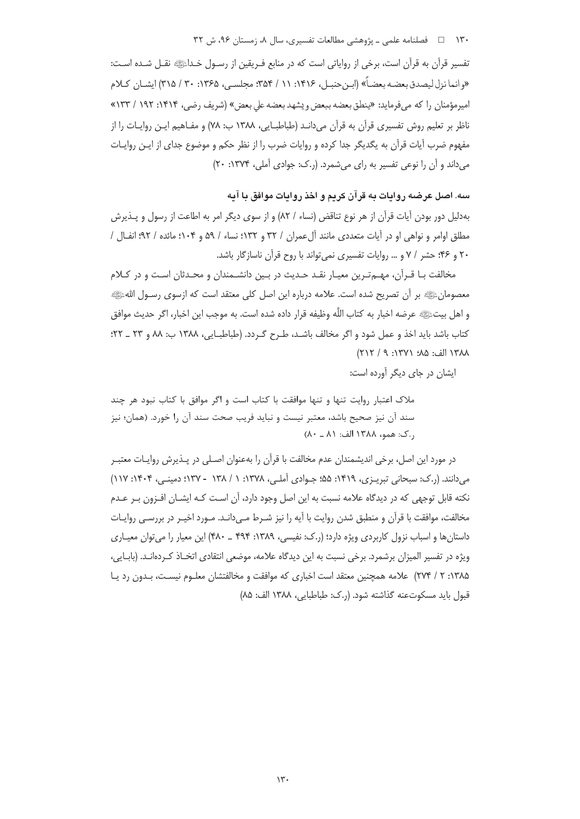۱۳۰ = د فصلنامه علمی ـ یژوهشی مطالعات تفسیری، سال ۸، زمستان ۹۶، ش ۳۲

تفسير قرآن به قرآن است، برخي از رواياتي است كه در منابع فـريقين از رسـول خـداءًا الله نقـل شـده اسـت: «وإنما نزل ليصدق بعضه بعضـاً» (ابن حنبــا ، ١۴١۶: ١١ / ٣۵۴: محلســ ، ١٣۶۵: ٣٠ / ٣١۵) ابشــان كــلام امیرمؤمنان را که می فرماید: «پنطق بعضه ببعض و پشهد بعضه علی بعض» (شریف رضی، ۱۴۱۴: ۱۹۲ / ۱۳۳» ناظر بر تعلیم روش تفسیری قرآن به قرآن می دانـد (طباطبـایی، ۱۳۸۸ ب: ۷۸) و مفـاهیم ایـن روایـات را از مفهوم ضرب آيات قرآن به يگديگر جدا كرده و روايات ضرب را از نظر حكم و موضوع جداي از ايـن روايـات میداند و آن را نوعی تفسیر به رای میشمرد. (ر.ک: جوادی آملی، ۱۳۷۴: ۲۰)

سه. اصل عرضه روایات به قرآن کریم و اخذ روایات موافق با آیه

بهدلیل دور بودن آیات قرآن از هر نوع تناقض (نساء / ۸۲) و از سوی دیگر امر به اطاعت از رسول و پــذیرش مطلق اوامر و نواهی او در آیات متعددی مانند آل عمران / ۳۲ و ۱۳۲: نساء / ۵۹ و ۱۰۴: مائده / ۹۲: انفـال / ۲۰ و ۴۶؛ حشر / ۷ و … روایات تفسیری نمی تواند با روح قرآن ناسازگار باشد.

مخالفت بـا قـرآن، مهـمترين معيـار نقـد حـديث در بـين دانشـمندان و محـدثان اسـت و در كـلام معصومانﷺ بر أن تصريح شده است. علامه درباره اين اصل كلي معتقد است كه ازسوى رسـول اللهﷺ و اهل بيتﷺ عرضه اخبار به كتاب اللَّه وظيفه قرار داده شده است. به موجب اين اخبار، اگر حديث موافق كتاب باشد بايد اخذ و عمل شود و اگر مخالف باشـد، طـرح گـردد. (طباطبـايي، ١٣٨٨ ب: ٨٨ و ٢٣ ـ ٢٢؛ ١٣٨٨ الف: ٨۵؛ ١٣٧١: ٩ / ٢١٢)

ایشان در جای دیگر آورده است:

ملاک اعتبار روایت تنها و تنها موافقت با کتاب است و اگر موافق با کتاب نبود هر جند سند آن نیز صحیح باشد، معتبر نیست و نباید فریب صحت سند آن را خورد. (همان؛ نیز ر.ک: همو، ۱۳۸۸ الف: ۸۱ ـ ۸۰)

در مورد این اصل، برخی اندیشمندان عدم مخالفت با قرآن را بهعنوان اصـلی در پـذیرش روایـات معتبـر می دانند. (ر.ک: سبحانی تبریـزی، ۱۴۱۹: ۵۵؛ جـوادی آملـی، ۱۳۷۸: ۱ / ۱۳۸ - ۱۳۷؛ دمینـی، ۱۴۰۴: ۱۱۷) نکته قابل توجهی که در دیدگاه علامه نسبت به این اصل وجود دارد، آن اسـت کـه ایشـان افـزون بـر عـدم مخالفت، موافقت با قرآن و منطبق شدن روايت با آيه را نيز شـرط مـي‹انـد. مـورد اخيـر در بررسـي روايـات داستان ها و اسباب نزول کاربردی ویژه دارد؛ (ر.ک: نفیسی، ۱۳۸۹: ۴۹۴ \_ ۴۸۰) این معیار را می توان معیـاری ويژه در تفسير الميزان برشمرد. برخي نسبت به اين ديدگاه علامه، موضعي انتقادي اتخـاذ كـردهانـد. (بابــايي، ۱۳۸۵: ۲ / ۲۷۴) علامه همچنین معتقد است اخباری که موافقت و مخالفتشان معلـوم نیسـت، بـدون رد یـا قبول بايد مسكوتعنه گذاشته شود. (.ك: طباطبايي، ١٣٨٨ الف: ٨۵)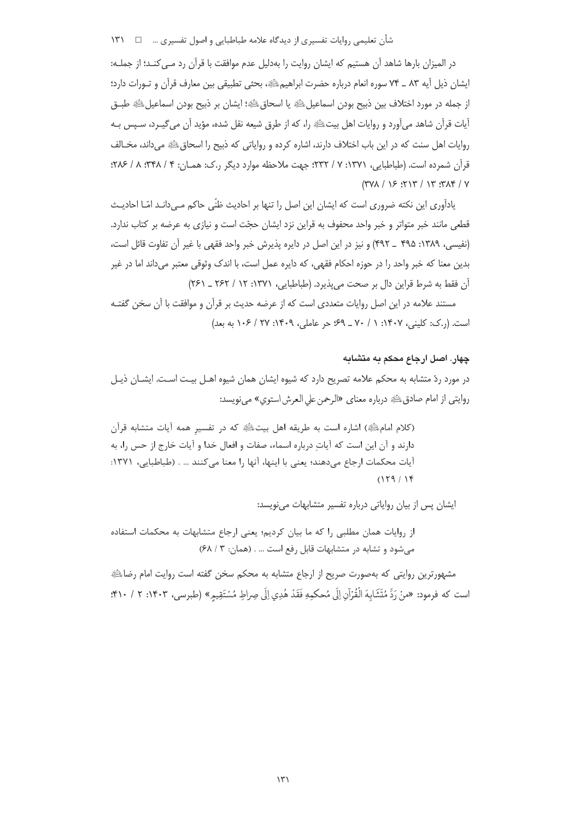شأن تعليمي روايات تفسيري از ديدگاه علامه طباطبايي و اصول تفسيري …  $\Box$  ١٣١

در الميزان بارها شاهد آن هستيم كه ايشان روايت را بهدليل عدم موافقت با قرآن رد مـي كنـد؛ از جملـه: ايشان ذيل أيه ٨٣ \_ ٧۴ سوره انعام درباره حضرت ابراهيمﷺ، بحثى تطبيقي بين معارف قرآن و تـورات دارد؛ از جمله در مورد اختلاف بين ذبيح بودن اسماعيل ﷺ يا اسحاق ﷺ؛ ايشان بر ذبيح بودن اسماعيل ﷺ طبــق آيات قرآن شاهد مي آورد و روايات اهل بيتﷺ را، كه از طرق شيعه نقل شده، مؤيد آن مي گيـرد، سـيس بـه روايات اهل سنت كه در اين باب اختلاف دارند، اشاره كرده و رواياتي كه ذبيح را اسحاق ﷺ مرداند، مخبالف قرآن شمرده است. (طباطبایی، ۱۳۷۱: ۷ / ۲۳۲: جهت ملاحظه موارد دیگر ر.ک: همـان: ۴ / ۳۴۸: ۸ / ۲۸۶:  $(7V) / 25$  ( $7V$  /  $17.7V$ 

یادآوری این نکته ضروری است که ایشان این اصل را تنها بر احادیث ظنّی حاکم مـیدانـد امّـا احادیـث قطعی مانند خبر متواتر و خبر واحد محفوف به قراین نزد ایشان حجّت است و نیازی به عرضه بر کتاب ندارد. (نفيسي، ١٣٨٩: ۴٩٥ \_ ۴٩٢) و نيز در اين اصل در دايره پذيرش خبر واحد فقهي با غير آن تفاوت قائل است، بدین معنا که خبر واحد را در حوزه احکام فقهی، که دایره عمل است، با اندک وثوقی معتبر میداند اما در غیر آن فقط به شرط قراین دال بر صحت می بذیرد. (طباطبایی، ۱۳۷۱: ۱۲ / ۲۶۲ ـ ۲۶۱)

مستند علامه در این اصل روایات متعددی است که از عرضه حدیث بر قرآن و موافقت با آن سخن گفتـه است. (ر.ک: کلینی، ۱۴۰۷: ۱ / ۷۰ \_ ۶۹؛ حر عاملی، ۱۴۰۹: ۲۷ / ۱۰۶ به بعد)

## چهار. اصل ارجاع محکم به متشابه

در مورد ردّ متشابه به محکم علامه تصریح دارد که شیوه ایشان همان شیوه اهــل بیـت اسـت. ایشــان ذیــل روايتي از امام صادق ﷺ درباره معناي «الرحمن على العرش استوى» مي نويسد:

(كلام امام عليه) اشاره است به طريقه اهل بيت عليه كه در تفسير همه آيات متشابه قرآن دارند و آن این است که آیات درباره اسماء، صفات و افعال خدا و آیات خارج از حس را، به آيات محكمات ارجاع مي دهند؛ يعني با اينها، آنها را معنا مي كنند ... . (طباطبايي، ١٣٧١:  $(179/19)$ 

ایشان پس از بیان روایاتی درباره تفسیر متشابهات می نویسد:

از روایات همان مطلبی را که ما بیان کردیم؛ یعنی ارجاع متشابهات به محکمات استفاده می شود و تشابه در متشابهات قابل رفع است ... . (همان: ٣ / ٤٨)

مشهورترین روایتی که بهصورت صریح از ارجاع متشابه به محکم سخن گفته است روایت امام رضا،ﷺ است كه فرمود: «منْ رَدِّ مُتَشَابِهَ الْقُرْآنِ إِلَى مُحكمِهِ فَقَدْ هُدِي إِلَى صِراطٍ مُسْتَقِيمٍ» (طبرسي، ١۴٠٣: ٢ / ۴١٠: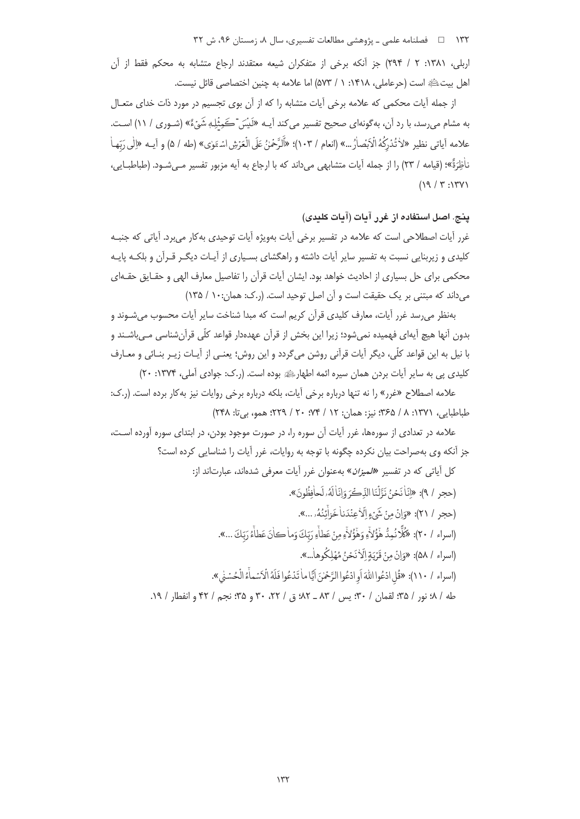۱۳۲ = د فصلنامه علمی ـ یژوهشی مطالعات تفسیری، سال ۸، زمستان ۹۶، ش ۳۲

اربلي، ١٣٨١: ٢ / ٢٩۴) جز آنكه برخي از متفكران شيعه معتقدند ارجاع متشابه به محكم فقط از آن اهل بيتﷺ است (حرعاملي، ١۴١٨: ١ / ٥٧٣) اما علامه به چنين اختصاصي قائل نيست.

از جمله آیات محکمی که علامه برخی آیات متشابه را که از آن بوی تجسیم در مورد ذات خدای متعـال به مشام می رسد، با رد آن، به گونهای صحیح تفسیر می کند آیــه «لَبِسَ ۖ ڪَمِثْلِـهٖ شَيْءٌ» (شـوری / ١١) اسـت. علامه آياتي نظير «لأتُدْرَكُهُ الْإِبْصاٰرُ …» (انعام / ١٠٣)؛ «أَلَرَّحُمْنُ عَلَى الْعَرْشِ اسْبَوٰي» (طه / ۵) و آيبه «إلى رَبّها نأَظِرَةٌ»؛ (قيامه / ٢٣) را از جمله آيات متشابهي مي داند كه با ارجاع به آيه مزبور تفسير مـي شـود. (طباطبــايي،  $(19/7:15)$ 

# ينج. اصل استفاده از غرر آمات (آمات كلمدى)

غرر آیات اصطلاحی است که علامه در تفسیر برخی آیات بهویژه آیات توحیدی بهکار می برد. آیاتی که جنبـه کلیدی و زیربنایی نسبت به تفسیر سایر آیات داشته و راهگشای بسـیاری از آیـات دیگـر قـرآن و بلکـه پایـه محکمی برای حل بسیاری از احادیث خواهد بود. ایشان آیات قرآن را تفاصیل معارف الهی و حقـایق حقـهای می داند که مبتنی بر یک حقیقت است و آن اصل توحید است. (, ک: همان:١٠ / ١٣۵)

بهنظر می رسد غرر آیات، معارف کلیدی قرآن کریم است که مبدا شناخت سایر آیات محسوب می شـوند و بدون آنها هیچ آیهای فهمیده نمی شود؛ زیرا این بخش از قرآن عهدهدار قواعد کلّی قرآن شناسی مـی باشــند و با نيل به اين قواعد كلَّى، ديگر آيات قرآني روشن ميگردد و اين روش؛ يعنـي از آيـات زيـر بنـائي و معـارف کلیدی یی به سایر آیات بردن همان سیره ائمه اطهارﷺ بوده است. (ر.ک: جوادی آملی، ۱۳۷۴: ۲۰)

علامه اصطلاح «غرر» را نه تنها درباره برخي آيات، بلكه درباره برخي روايات نيز بهكار برده است. (ر.ك: طباطبايي، ١٣٧١: ٨ / ٣٤٥؛ نيز: همان: ١٢ / ٢۴؛ ٢٠ / ٢٢٩؛ همو، بي تا: ٢۴٨)

علامه در تعدادی از سورهها، غرر آیات آن سوره را، در صورت موجود بودن، در ابتدای سوره آورده اسـت، جز آنكه وى بهصراحت بيان نكرده چگونه با توجه به روايات، غرر آيات را شناسايي كرده است؟

> كل آياتي كه در تفسير «*الميزان*» بهعنوان غرر آيات معرفي شدهاند، عبارتاند از: (حجر / ٩): «إِنَّا نَجْنُ نَزَّلْنَا الذِّكَّ وَإِنَّا لَهُ وِلَحافِظُونَ». (حجر / ٢١): «وَإِنْ مِنْ شَيْءٍ الْإِجِنْدَناٰ خَزِأَتْنُهُۥ...».

> > (اسراء / ٢٠): «كُلَّا نُمِدُّ هَٰوُّلاَّءِ وَهَٰؤُلاَّءِ مِنْ عَطاَّءِ رَبِّكَ وَما كانَ عَطاْءُ رَبّكَ ...».

(اسراء / ۵۸): «وَإِنْ مِنْ قَرْيَةٍ إِلَّا نَحْنُ مُهْلِكُوهاْ...».

(اسراء / ١١٠): «قُل ادْعُوا اللَّهَ أَو ادْعُوا الرَّحْمٰنَ أيَّا ما تَدْعُوا فَلَهُ الْأَسْماَءُ الْحُسْنَى».

طه / ٨؛ نور / ٣٥؛ لقمان / ٣٠؛ پس / ٨٣ \_ ٨٢، ق / ٢٢، ٣٠ و ٣۵؛ نجم / ٣٢ و انفطار / ١٩.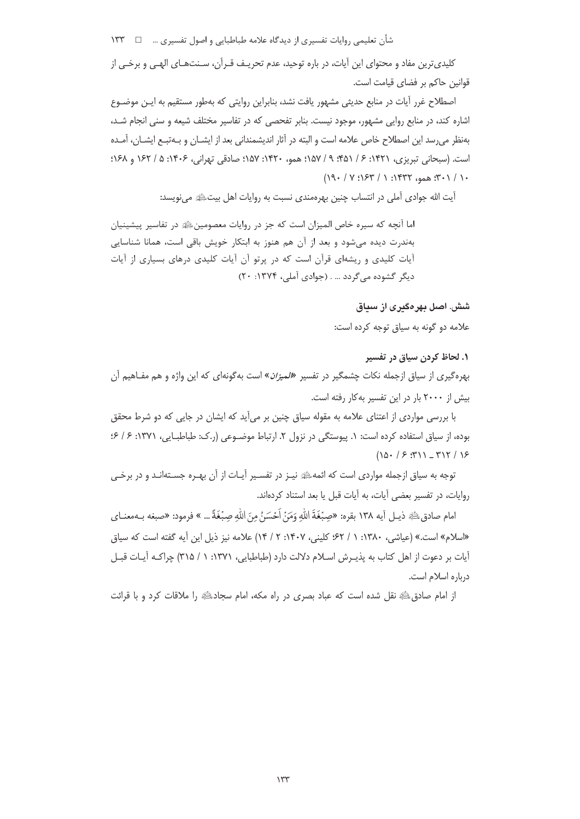شأن تعليمي روايات تفسيري از ديدگاه علامه طباطبايي و اصول تفسيري …  $\Box$  ١٣٣

کلیدیترین مفاد و محتوای این آیات، در باره توحید، عدم تحریـف قـرآن، سـنتهـای الهـی و برخـی از قوانین حاکم بر فضای قیامت است.

اصطلاح غرر أيات در منابع حديثي مشهور يافت نشد، بنابراين روايتي كه بهطور مستقيم به ايـن موضـوع اشاره کند، در منابع روایی مشهور، موجود نیست. بنابر تفحصی که در تفاسیر مختلف شیعه و سنی انجام شـد، بهنظر می رسد این اصطلاح خاص علامه است و البته در آثار اندیشمندانی بعد از ایشــان و بــهتبــع ایشــان، آمــده است. (سبحانی تبریزی، ۱۴۲۱: ۶/ ۴۵۱؛ ۹/ ۱۵۷؛ همو، ۱۴۲۰: ۱۵۷؛ صادقی تهرانی، ۱۴۰۶: ۵/ ۱۶۲ و ۱۶۸؛  $(19. / Y:154 / Y:154)$ 

آيت الله جوادي آملي در انتساب چنين بهرهمندي نسبت به روايات اهل بيتﷺ مي نويسد:

اما آنچه که سیره خاص المیزان است که جز در روایات معصومینﷺ در تفاسیر پیشینیان بهندرت دیده می شود و بعد از آن هم هنوز به ابتکار خویش باقی است، همانا شناسایی آیات کلیدی و ریشهای قرآن است که در پرتو آن آیات کلیدی درهای بسیاری از آیات دیگر گشوده میگردد … . (جوادی آملی، ۱۳۷۴: ۲۰)

> شش. اصل بهرهگدری از سداق علامه دو گونه به سیاق توجه کرده است:

# ۱. لحاظ کردن سیاق در تفسیر

بهرهگیری از سیاق ازجمله نکات چشمگیر در تفسیر «*المیزان*» است بهگونهای که این واژه و هم مفـاهیم اَن بیش از ۲۰۰۰ بار در این تفسیر به کار رفته است.

با بررسی مواردی از اعتنای علامه به مقوله سیاق چنین بر می∫ید که ایشان در جایی که دو شرط محقق بوده، از سیاق استفاده کرده است: ١. پیوستگی در نزول ٢. ارتباط موضوعی (ر.ک: طباطبایی، ١٣٧١: ۶/ ۶:  $(10 - 75.57)$   $-717/15$ 

توجه به سیاق ازجمله مواردی است که ائمهﷺ نیـز در تفسـیر آیـات از آن بهـره جسـتهانـد و در برخـی روایات، در تفسیر بعضی آیات، به آیات قبل یا بعد استناد کردهاند.

امام صادقﷺ ذيـل آيه ١٣٨ بقره: «صِبْغَةَ اللَّهِ وَمَنْ اَحْسَنُ مِنَ اللَّهِ صِبْغَةً ... » فرمود: «صبغه بـهمعنـاي «اسلام» است.» (عباشی، ۱۳۸۰: ۱/ ۶۲؛ کلینی، ۱۴۰۷: ۲/ ۱۴) علامه نیز ذیل این آیه گفته است که سیاق آیات بر دعوت از اهل کتاب به پذیـرش اسـلام دلالت دارد (طباطبایی، ۱۳۷۱: ۱ / ۳۱۵) چراکـه آیـات قبـل درباره اسلام است.

از امام صادق،ﷺ نقل شده است که عباد بصری در راه مکه، امام سجادﷺ را ملاقات کرد و با قرائت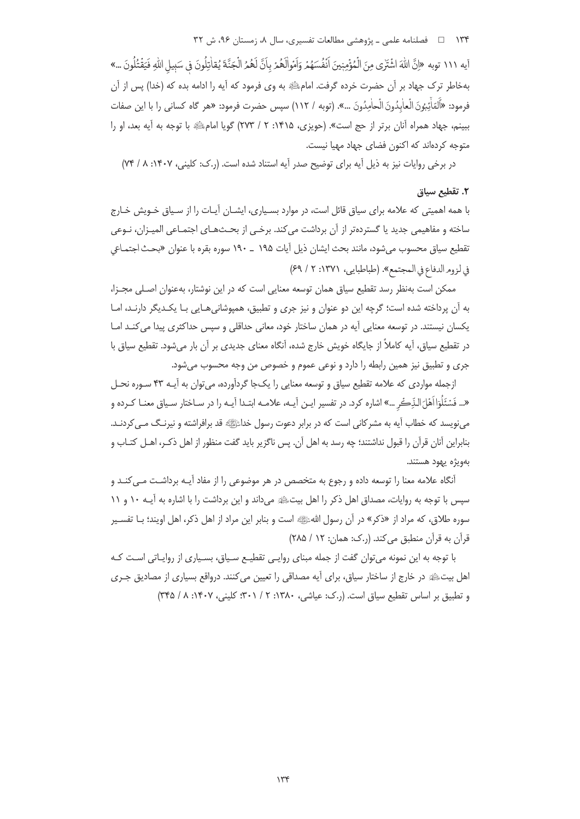۱۳۴ = د فصلنامه علمی ـ یژوهشی مطالعات تفسیری، سال ۸، زمستان ۹۶، ش ۳۲

آيه ١١١ توبه «إنَّ اللهَ اشْتَرٰى مِنَ الْمُؤْمِنِينَ اَنْفُسَهُمْ وَاَمُوالَهُمْ بِاَنَّ لَهُمُ الْجَنَّةَ يُقاتِلُونَ في سَبِيلِ اللهِ فَيَقْتُلُونَ ...» بهخاطر ترک جهاد بر آن حضرت خرده گرفت. امامﷺ به وی فرمود که آیه را ادامه بده که (خدا) پس از آن فرمود: «أَلمّاْتُبُونَ الْعاٰبِدُونَ الْحاٰمِدُونَ …». (توبه / ١١٢) سپس حضرت فرمود: «هر گاه كساني را با اين صفات ببينم، جهاد همراه آنان برتر از حج است». (حويزي، ١۴١۵: ٢ / ٢٧٣) گويا امامﷺ با توجه به آيه بعد، او را متوجه کردهاند که اکنون فضای جهاد مهیا نیست.

در برخی روایات نیز به ذیل آیه برای توضیح صدر آیه استناد شده است. (ر.ک: کلینی، ۱۴۰۷: ۸/ ۷۴)

## ٢. تقطيع سياق

با همه اهمیتی که علامه برای سیاق قائل است، در موارد بسـیاری، ایشــان آیــات را از سـیاق خــویش خـارج ساخته و مفاهیمی جدید یا گستردهتر از آن برداشت می کند. برخـی از بحــثـهـای اجتمـاعی المیـزان، نــوعی تقطیع سیاق محسوب میشود، مانند بحث ایشان ذیل آیات ۱۹۵ <sub>–</sub> ۱۹۰ سوره بقره با عنوان «بحث اجتمـاعی في لزوم الدفاع في المجتمع». (طباطبايي، ١٣٧١: ٢ / ٤٩)

ممکن است بهنظر رسد تقطیع سیاق همان توسعه معنایی است که در این نوشتار، بهعنوان اصلی مجـزا، به آن پرداخته شده است؛ گرچه این دو عنوان و نیز جری و تطبیق، همیوشانی هـایی بـا یکـدیگر دارنـد، امـا یکسان نیستند. در توسعه معنایی آیه در همان ساختار خود، معانی حداقلی و سپس حداکثری پیدا می کنـد امـا در تقطیع سیاق، آیه کاملاً از جایگاه خویش خارج شده، آنگاه معنای جدیدی بر آن بار می شود. تقطیع سیاق با جري و تطبيق نيز همين رابطه را دارد و نوعي عموم و خصوص من وجه محسوب مي شود.

ازجمله مواردی که علامه تقطیع سیاق و توسعه معنایی را یکجا گردآورده، می توان به آیــه ۴۳ سـوره نحـل «... فَسْئَلُوٓا اَهْلَ الدِّڪُر …» اشاره کرد. در تفسیر ایـن آیـه، علامـه ابتـدا آیـه را در سـاختار سـیاق معنـا كـرده و می نویسد که خطاب آیه به مشرکانی است که در برابر دعوت رسول خداﷺ قد برافراشته و نیرنـگ مـی کردنـد. بنابراین آنان قرآن را قبول نداشتند؛ چه رسد به اهل آن. پس ناگزیر باید گفت منظور از اهل ذکـر، اهــل کتــاب و بەويژە يهود هستند.

آنگاه علامه معنا را توسعه داده و رجوع به متخصص در هر موضوعی را از مفاد آیــه برداشـت مــی کنــد و سپس با توجه به روایات، مصداق اهل ذکر را اهل بیتﷺ میداند و این برداشت را با اشاره به آیـه ١٠ و ١١ سوره طلاق، که مراد از «ذکر» در آن رسول اللهﷺ است و بنابر این مراد از اهل ذکر، اهل اویند؛ بـا تفسـیر قرآن به قرآن منطبق می کند. (ر.ک: همان: ۱۲ / ۲۸۵)

با توجه به این نمونه میتوان گفت از جمله مبنای روایـی تقطیـع سـیاق، بسـیاری از روایـاتی اسـت کـه اهل بیتﷺ در خارج از ساختار سیاق، برای آیه مصداقی را تعیین می کنند. درواقع بسیاری از مصادیق جـری و تطبیق بر اساس تقطیع سیاق است. (ر.ک: عیاشی، ۱۳۸۰: ۲ / ۳۰۱: کلینی، ۱۴۰۷: ۸ / ۳۴۵)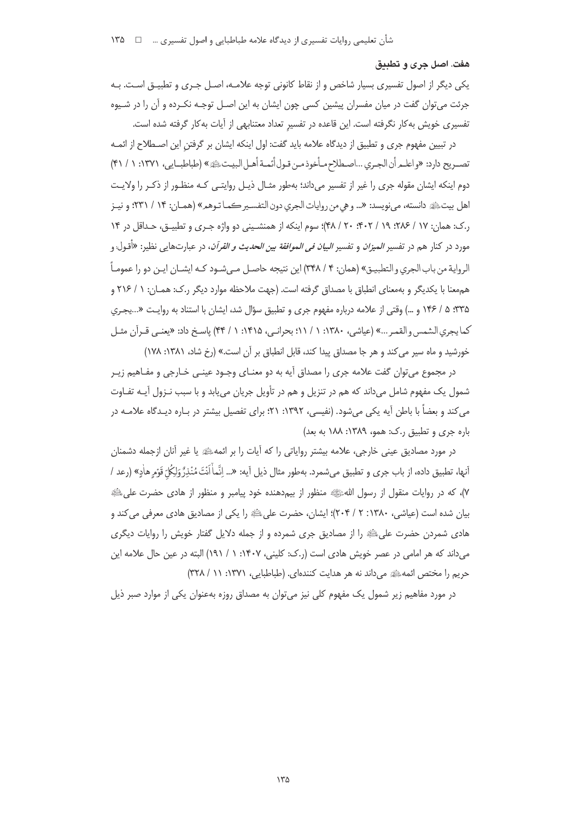#### هفت. اصل جري و تطبيق

یکی دیگر از اصول تفسیری بسیار شاخص و از نقاط کانونی توجه علامـه، اصـل جـری و تطبیــق اسـت. بـه جرئت میتوان گفت در میان مفسران پیشین کسی چون ایشان به این اصـل توجـه نکـرده و آن را در شـیوه تفسیری خویش به کار نگرفته است. این قاعده در تفسیر تعداد معتنابهی از آیات به کار گرفته شده است.

در تبیین مفهوم جری و تطبیق از دیدگاه علامه باید گفت: اول اینکه ایشان بر گرفتن این اصـطلاح از ائمـه تصـريح دارد: «واعلـمرأن الجـري ...اصـطلاح مـأخوذ مـن قـول أئمـة أهـل البيـت، إليه « (طباطبــايي، ١٣٧١: ١ / ۴١) دوم اینکه ایشان مقوله جری را غیر از تفسیر میداند؛ بهطور مثـال ذیـل روایتـی کـه منظـور از ذکـر را ولایـت اهل بيت ﷺ دانسته، مي نويسد: «... وهي من روايات الجري دون التفسير كمـا تـوهمِ» (همـان: ١۴ / ٢٣١؛ و نيـز ر.ک: همان: ۱۷ / ۲۸۶؛ ۱۹/ / ۲۰: ۴۰۲/ ۴۸)؛ سوم اینکه از همنشینی دو واژه جری و تطبیـق، حـداقل در ۱۴ مورد در کنار هم در تفسیر *المیزان* و تفسیر *البیان فی الموافقة بین الحدیث و القرآن*، در عبارتهایی نظیر: «أقـول و الرواية من باب الجري و التطبيـق» (همان: ۴ / ۳۴۸) اين نتيجه حاصـل مـي شـود كـه ايشـان ايـن دو را عمومـاً هم معنا با يكديگر و به معناى انطباق با مصداق گرفته است. (جهت ملاحظه موارد ديگر ر.ک: همـان: ١ / ٢١۶ و ۳۳۵: ۵ / ۱۴۶ و …) وقتی از علامه درباره مفهوم جری و تطبیق سؤال شد، ایشان با استناد به روایت «...یجری كما يجري الشمس و القمر ...» (عياشي، ١٣٨٠: ١ / ١١؛ بحرانبي، ١٤١٥: ١ / ۴۴) پاسخ داد: «يعنبي قـرآن مثـل خورشید و ماه سیر می کند و هر جا مصداق پیدا کند، قابل انطباق بر آن است.» (رخ شاد، ۱۳۸۱: ۱۷۸)

در مجموع می توان گفت علامه جری را مصداق آیه به دو معنـای وجـود عینـی خـارجی و مفـاهیم زیـر شمول یک مفهوم شامل میداند که هم در تنزیل و هم در تأویل جریان می بابد و با سبب نـزول آیــه تفـاوت می کند و بعضاً با باطن آیه یکی می شود. (نفیسی، ۱۳۹۲: ۲۱؛ برای تفصیل بیشتر در بـاره دیـدگاه علامـه در باره جري و تطبيق رک: همو، ١٣٨٩: ١٨٨ به بعد)

در مورد مصادیق عینی خارجی، علامه بیشتر روایاتی را که آیات را بر ائمهﷺ یا غیر آنان ازجمله دشمنان أنها، تطبيق داده، از باب جرى و تطبيق مىشمرد. بهطور مثال ذيل أيه: «... اِنَّماْ اَنْتَ مُنْذِرٌّ وَلِكُلّ قَوْم هاٰدِ» (رعد / ۷)، که در روایات منقول از رسول اللهﷺ منظور از بیم‹هنده خود پیامبر و منظور از هادی حضرت علیﷺ بیان شده است (عیاشی، ۱۳۸۰: ۲ / ۲۰۴)؛ ایشان، حضرت علیﷺ را یکی از مصادیق هادی معرفی می کند و هادی شمردن حضرت علیﷺ را از مصادیق جری شمرده و از جمله دلایل گفتار خویش را روایات دیگری می داند که هر امامی در عصر خویش هادی است (ر.ک: کلینی، ۱۴۰۷: ۱ / ۱۹۱) البته در عین حال علامه این حريم را مختص ائمه عليه مي داند نه هر هدايت كنندهاي. (طباطبايي، ١٣٧١: ١١ / ٣٢٨)

در مورد مفاهیم زیر شمول یک مفهوم کلی نیز می توان به مصداق روزه بهعنوان یکی از موارد صبر ذیل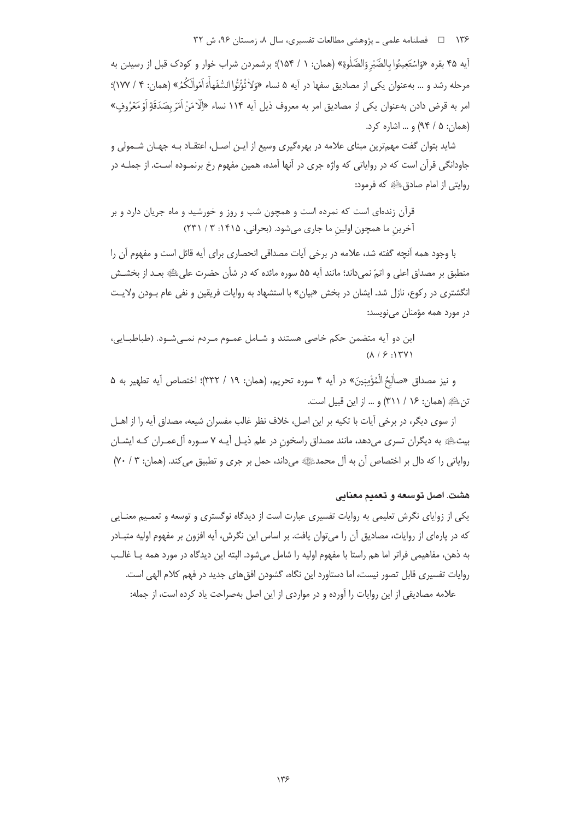۱۳۶ هـ المستان و مسلنامه علمي ـ پژوهشي مطالعات تفسيري، سال ۸، زمستان ۹۶، ش ۳۲

آيه ۴۵ بقره «وَاسْتَعِينُوا بِالصَّبْرِ وَالصَّلْوةِ» (همان: ۱ / ۱۵۴)؛ برشمردن شراب خوار و كودك قبل از رسيدن به مرحله رشد و … بهعنوان يكي از مصاديق سفها در آيه ۵ نساء «وَلاٰ تُؤْتُوا السُّفَهاْءَ اَمْوالَكُمُ» (همان: ۴ / ۱۷۷)؛ امر به قرض دادن بهعنوان یکی از مصادیق امر به معروف ذیل آیه ۱۱۴ نساء «الّامَنْ اَمَرَ بِصَدَقَةِ اَوْ مَعُرُوف» (همان: ۵ / ۹۴) و ... اشاره کرد.

شاید بتوان گفت مهمترین مبنای علامه در بهرهگیری وسیع از ایـن اصـل، اعتقـاد بـه جهـان شــمولی و جاودانگی قرآن است که در روایاتی که واژه جری در آنها آمده، همین مفهوم رخ برنمـوده اسـت. از جملـه در روايتي از امام صادق ﷺ كه فرمود:

قرآن زندهای است که نمرده است و همچون شب و روز و خورشید و ماه جریان دارد و بر آخرین ما همچون اولین ما جاری می شود. (بحرانی، ۱۴۱۵: ۳ / ۲۳۱)

با وجود همه آنچه گفته شد، علامه در برخی آیات مصداقی انحصاری برای آیه قائل است و مفهوم آن را منطبق بر مصداق اعلی و اتمّ نمی،داند؛ مانند آیه ۵۵ سوره مائده که در شأن حضرت علی،ﷺ بعـد از بخشــش انگشتری در رکوع، نازل شد. ایشان در بخش «بیان» با استشهاد به روایات فریقین و نفی عام بـودن ولایـت در مورد همه مؤمنان مینویسد:

این دو آیه متضمن حکم خاصی هستند و شـامل عمـوم مـردم نمـیشـود. (طباطبـایی،  $(\lambda / 5 : 15)$ 

و نيز مصداق «صالْحُ الْمُؤْمِنِينَ» در آيه ۴ سوره تحريم، (همان: ١٩ / ٣٣٢)؛ اختصاص آيه تطهير به ۵ تن عليه (همان: ١۶ / ٣١١) و … از اين قبيل است.

از سوی دیگر، در برخی آیات با تکیه بر این اصل، خلاف نظر غالب مفسران شیعه، مصداق آیه را از اهـل بیتﷺ به دیگران تسری میدهد، مانند مصداق راسخون در علم ذیـل آیـه ۷ سـوره آلءمـران کـه ایشـان رواياتي را كه دال بر اختصاص آن به آل محمدﷺ مي داند، حمل بر جرى و تطبيق مي كند. (همان: ٣ / ٧٠)

# هشت. اصل توسعه و تعميم معنايي

یکی از زوایای نگرش تعلیمی به روایات تفسیری عبارت است از دیدگاه نوگستری و توسعه و تعمیم معنـایی که در پارهای از روایات، مصادیق آن را می¤وان یافت. بر اساس این نگرش، آیه افزون بر مفهوم اولیه متبـادر به ذهن، مفاهيمي فراتر اما هم راستا با مفهوم اوليه را شامل ميشود. البته اين ديدگاه در مورد همه يـا غالـب روایات تفسیری قابل تصور نیست، اما دستاورد این نگاه، گشودن افق های جدید در فهم کلام الهی است. علامه مصادیقی از این روایات را آورده و در مواردی از این اصل بهصراحت یاد کرده است، از جمله: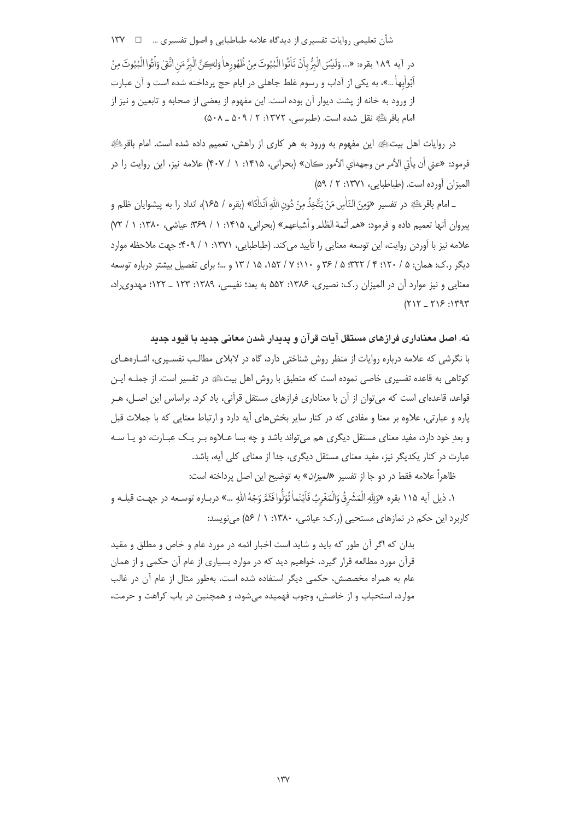شأن تعليمي روايات تفسيري از ديدگاه علامه طباطبايي و اصول تفسيري … □

درِ آيه ١٨٩ بقره: «... وَلَيْسَ الْبَرُّ بِأَنْ تَأْتُوا الْبُيُوتَ مِنْ ظُهُورِها وَلِكِيَّ الْبِرَّ مَن اتَّقِي وَأْتُوا الْبُيُوتَ مِنْ اَبُواٰبِهاٰ ...»، به یکی از آداب و رسوم غلط جاهلی در ایام حج پرداخته شده است و آن عبارت از ورود به خانه از پشت دیوار آن بوده است. این مفهوم از بعضی از صحابه و تابعین و نیز از امام باقر ﷺ نقل شده است. (طبرسے ، ١٣٧٢: ٢ / ٥٠٩ ـ ٥٠٨)

در روایات اهل بیتﷺ این مفهوم به ورود به هر کاری از راهش، تعمیم داده شده است. امام باقرﷺ فرمود: «عني أن يأتي الأمر من وجههاي الأمور كان» (بحراني، ١٤١۵: ١ / ٤٠٧) علامه نيز، اين روايت را در الميزان آورده است. (طباطبايي، ١٣٧١: ٢ / ۵٩)

ـ امام باقرءلَّةٍ در تفسير «وَمِنَ النَّاسِ مَنْ يَتَّخِذُ مِنْ دُونِ اللهِ أَنْدَاْدًا» (بقره / ١۶۵)، انداد را به ييشوايان ظلم و ييروان أنها تعميم داده و فرمود: «همرأئمة الظلمروأشياعهم» (بحراني، ١٣١٥: ١ / ٣٤٩: عياشي، ١٣٨٠: ١ / ٧٢ علامه نیز با آوردن روایت، این توسعه معنایی را تأیید می کند. (طباطبایی، ۱۳۷۱: ۱ / ۴۰۹؛ جهت ملاحظه موارد دیگر ,.ک: همان: ۵ / ۱۲۰؛ ۴ / ۳۲۲، ۵ / ۳۶ و ۱۰۱؛ ۷ / ۱۵۲، ۱۵ / ۱۳ و …؛ برای تفصیل بیشتر درباره توسعه معنایی و نیز موارد آن در المیزان ر.ک: نصیری، ۱۳۸۶: ۵۵۲ به بعد؛ نفیسی، ۱۳۸۹: ۱۲۳ \_ ۱۲۲؛ مهدوی راد،  $(717 - 715.1797$ 

نه. اصل معناداری فرازهای مستقل آیات قرآن و پدیدار شدن معانی جدید با قبود جدید با نگرشی که علامه درباره روایات از منظر روش شناختی دارد، گاه در لابلای مطالب تفسیری، اشـارههـای كوتاهي به قاعده تفسيري خاصي نموده است كه منطبق با روش اهل بيتﷺ در تفسير است. از جملـه ايـن قواعد، قاعدهای است که می¤وان از آن با معناداری فرازهای مستقل قرآنی، یاد کرد. براساس این اصـل، هــر پاره و عبارتی، علاوه بر معنا و مفادی که در کنار سایر بخشهای آیه دارد و ارتباط معنایی که با جملات قبل و بعدِ خود دارد، مفید معنای مستقل دیگری هم می¤واند باشد و چه بسا عـلاوه بـر یـک عبـارت، دو یـا سـه عبارت در کنار یکدیگر نیز، مفید معنای مستقل دیگری، جدا از معنای کلی آیه، باشد.

ظاهراً علامه فقط در دو جا از تفسیر *«لمیزان*» به توضیح این اصل پرداخته است:

١. ذيل آيه ١١۵ بقره «وَلِلّه الْمَشْرِقُ وَالْمَغْرِبُ فَأَيْنَماٰ تُوَلُّوا فَثَيَّرَ وَجُهُ الله …» دربـاره توسـعه در جهـت قبلـه و کاربرد این حکم در نمازهای مستحبی (ر.ک: عیاشی، ۱۳۸۰: ۱ / ۵۶) می نویسد:

بدان كه اگر آن طور كه بايد و شايد است اخبار ائمه در مورد عام و خاص و مطلق و مقيد قرآن مورد مطالعه قرار گیرد، خواهیم دید که در موارد بسیاری از عام آن حکمی و از همان عام به همراه مخصصش، حکمی دیگر استفاده شده است، بهطور مثال از عام آن در غالب موارد، استحباب و از خاصش، وجوب فهمیده می شود، و همچنین در باب کراهت و حرمت،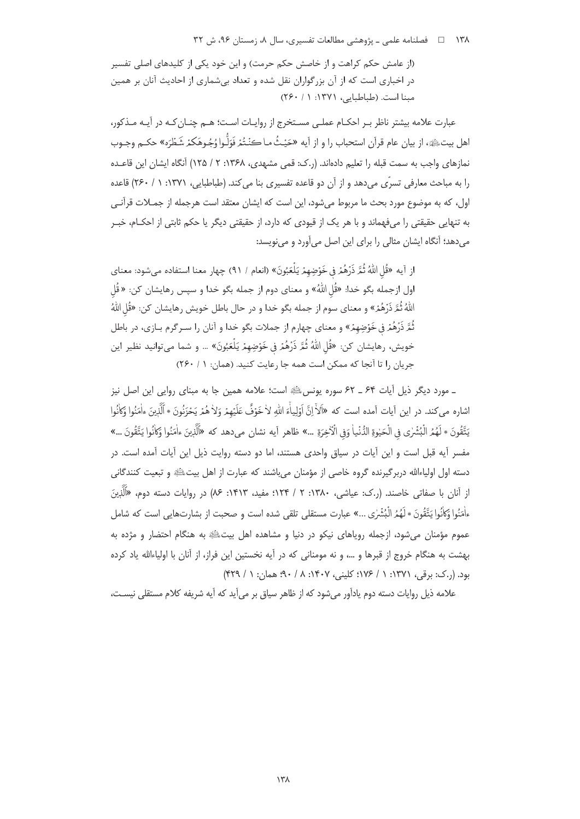(از عامش حکم کراهت و از خاصش حکم حرمت) و این خود یکی از کلیدهای اصلی تفسیر در اخباری است که از آن بزرگواران نقل شده و تعداد بی شماری از احادیث آنان بر همین مبنا است. (طباطبایی، ۱۳۷۱: ۱ / ۲۶۰)

عبارت علامه بیشتر ناظر بـر احکـام عملـی مسـتخرج از روایـات اسـت؛ هـم چنـان کـه در آیـه مـذکور، اهل بيتﷺ، از بيان عام قرآن استحباب را و از آيه «حَيْثُ مـا كنْتُمْ فَوَلُّوا وُجُوهَكمْ شَطْرَه» حكــم وجــوب نمازهای واجب به سمت قبله را تعلیم دادهاند. (ر.ک: قمی مشهدی، ۱۳۶۸: ۲ / ۱۲۵) آنگاه ایشان این قاعـده را به مباحث معارفی تسرّی می دهد و از آن دو قاعده تفسیری بنا می کند. (طباطبایی، ۱۳۷۱: ۱ / ۲۶۰) قاعده اول، که به موضوع مورد بحث ما مربوط میشود، این است که ایشان معتقد است هرجمله از جمـلات قرآنـی به تنهایی حقیقتی را میفهماند و با هر یک از قیودی که دارد، از حقیقتی دیگر یا حکم ثابتی از احکـام، خبـر می دهد؛ آنگاه ایشان مثالی را برای این اصل می آورد و می نویسد:

ازِ آيه «قُلِ اللَّهُ ثُمَّ ذَرْهُمْ فِي خَوْضِهِمْ يَلْعَبُونَ» (انعام / ٩١) چهار معنا استفاده مي شود: معناي اول ازجمله بگو خدا: «قُل اللّٰهُ» و معناي دوم از جمله بگو خدا و سپس رهايشان كن: « قُل اللَّهُ ثُمَّ ذَرْهُمْ» و معناي سوم از جمله بگو خدا و در حال باطل خويش رهايشان كن: «قُل اللَّهُ ثُمَّ ذَرْهُمْ فِي خَوْضِهِمْ» و معناي چهارم از جملات بگو خدا و آنان را سـرگرم بــازي، در باطل خويش، رهايشان كن: «قُل اللَّهُ ثُمَّرَ ذَرْهُمْ فِي خَوْضِهِمْ يَلْعَبُونَ» … و شما مي توانيد نظير اين جريان را تا آنجا كه ممكن است همه جا رعايت كنيد. (همان: ١ / ٢۶٠)

۔ مورد دیگر ذیل آیات ۶۴ ۔ ۶۲ سورہ یونسﷺ است؛ علامه همین جا به مبنای روایی این اصل نیز اشاره مي كند. در اين أيات آمده است كه «آلاً إنَّ أوْلِياًءَ اللهِ لاٰ خَوْفٌ عَلَيْهِمْ وَلاٰ هُمْ يَحْزَنُونَ \* ٱلَّذِينَ ءاٰمَنُوا وَكانُوا يَتَّقُونَ \* لَهُمُ الْبُشْرٰى في الْحَيْوةِ الدُّنْياٰ وَفِي الْآخِرَةِ ...» ظاهر آيه نشان مىدهد كه «أَلَّذِينَ ءاٰمَنُوا وَكاْنُوا يَتَّقُونَ ...» مفسر آیه قبل است و این آیات در سیاق واحدی هستند، اما دو دسته روایت ذیل این آیات آمده است. در دسته اول اولیاءالله دربرگیرنده گروه خاصی از مؤمنان میباشند که عبارت از اهل بیتﷺ و تبعیت کنندگانی از آنان با صفاتی خاصند. (ر.ک: عیاشی، ۱۳۸۰: ۲ / ۱۲۴؛ مفید، ۱۴۱۳: ۸۶) در روایات دسته دوم، «اَلَّذِینَ .<br>ءاٰمَنُوا وَكاٰنُوا يَتَّقُونَ \* لَهُمُ الْبُشْرٰى ...» عبارت مستقلى تلقى شده است و صحبت از بشارتهايى است كه شامل عموم مؤمنان می شود، ازجمله رویاهای نیکو در دنیا و مشاهده اهل بیتﷺ به هنگام احتضار و مژده به بهشت به هنگام خروج از قبرها و …، و نه مومنانی که در آیه نخستین این فراز، از آنان با اولیاءالله یاد کرده بود. (ر.ک: برقی، ۱۳۷۱: ۱ / ۱۷۶؛ کلینی، ۱۴۰۷: ۸ / ۹۰؛ همان: ۱ / ۴۲۹)

علامه ذیل روایات دسته دوم یادآور می شود که از ظاهر سیاق بر می آید که آیه شریفه کلام مستقلی نیسـت،

 $\lambda$ ۳۸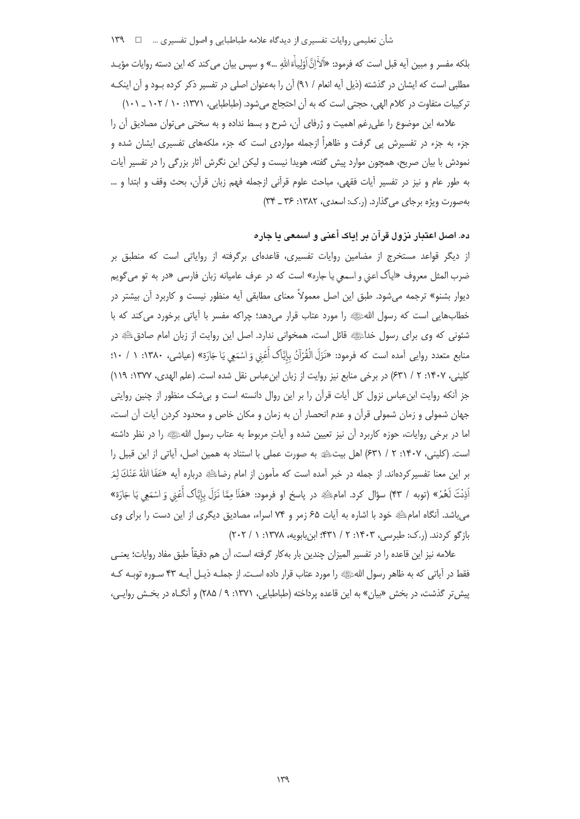بلكه مفسر و مبين آيه قبل است كه فرمود: «اَلاَ<sup>ذ</sup>َاِنَّ اَوْلِياْءَاللهِ …» و سپس بيان مى كند كه اين دسته روايات مؤيـد مطلبی است که ایشان در گذشته (ذیل آیه انعام / ۹۱) آن را بهعنوان اصلی در تفسیر ذکر کرده بـود و آن اینکـه ترکیبات متفاوت در کلام الهی، حجتی است که به آن احتجاج می شود. (طباطبایی، ۱۳۷۱: ۱۰/ ۱۰۲ \_ ۱۰۱)

علامه این موضوع را علی رغم اهمیت و ژرفای آن، شرح و بسط نداده و به سختی می توان مصادیق آن را جزء به جزء در تفسیرش پی گرفت و ظاهراً ازجمله مواردی است که جزء ملکههای تفسیری ایشان شده و نمودش با بیان صریح، همچون موارد پیش گفته، هویدا نیست و لیکن این نگرش آثار بزرگی را در تفسیر آیات به طور عام و نيز در تفسير آيات فقهي، مباحث علوم قرآني ازجمله فهم زبان قرآن، بحث وقف و ابتدا و … بهصورت ویژه برجای می گذارد. (ر.ک: اسعدی، ۱۳۸۲: ۳۶ \_ ۳۴)

## ده. اصل اعتبار نزول قرآن بر إياك أعنى و اسمعى يا جاره

از دیگر قواعد مستخرج از مضامین روایات تفسیری، قاعدهای برگرفته از روایاتی است که منطبق بر ضرب المثل معروف «اياك اعني و اسمعي يا جاره» است كه در عرف عاميانه زبان فارسي «در به تو مي گويم دیوار بشنو» ترجمه میشود. طبق این اصل معمولاً معنای مطابقی آیه منظور نیست و کاربرد آن بیشتر در خطابهایی است که رسول اللهﷺ را مورد عتاب قرار میدهد؛ چراکه مفسر با آیاتی برخورد میکند که با شئونی که وی برای رسول خداﷺ قائل است، همخوانی ندارد. اصل این روایت از زبان امام صادقﷺ در منابع متعدد روایی آمده است که فرمود: «نَزَلَ الْقُرْآنُ بِاِيَّاک أَعْنِي وَ اسْمَعِي يَا جَارَة» (عياشي، ١٣٨٠: ١ / ١٠: کلینی، ۱۴۰۷: ۲ / ۶۳۱) در برخی منابع نیز روایت از زبان ابن عباس نقل شده است. (علم الهدی، ۱۳۷۷: ۱۱۹) جز آنکه روایت ابنءباس نزول کل آیات قرآن را بر این روال دانسته است و بیشک منظور از چنین روایتی جهان شمولی و زمان شمولی قرآن و عدم انحصار آن به زمان و مکان خاص و محدود کردن آیات آن است، اما در برخی روایات، حوزه کاربرد آن نیز تعیین شده و آیاتِ مربوط به عتاب رسول اللهﷺ را در نظر داشته است. (كليني، ١۴٠٧: ٢ / ٤٣١) اهل بيتﷺ به صورت عملي با استناد به همين اصل، آياتي از اين قبيل را بر این معنا تفسیرکردهاند. از جمله در خبر آمده است که مأمون از امام رضاﷺ درباره آیه «عَفَا ﷲُ عَنْكَ لِمَر اَذِنْتَ لَعُمْرٌ» (توبه / ۴۳) سؤال کرد. امامﷺ در پاسخ او فرمود: «هَذَا مِمَّا نَزَلَ بِإِيَّاک أَعْنى وَ اسْمَعِي يَا جَارَة» می باشد. آنگاه امام ﷺ خود با اشاره به آیات ۶۵ زمر و ۷۴ اسراء، مصادیق دیگری از این دست را برای وی بازگو کردند. (ر.ک: طبرسی، ۱۴۰۳: ۲ / ۴۳۱؛ ابن بابویه، ۱۳۷۸: ۱ / ۲۰۲)

علامه نيز اين قاعده را در تفسير الميزان چندين بار بهكار گرفته است، آن هم دقيقاً طبق مفاد روايات؛ يعنـي فقط در آیاتی که به ظاهر رسول اللهﷺ را مورد عتاب قرار داده است. از جملـه ذیـل آیـه ۴۳ سـوره توبـه کـه پیش تر گذشت، در بخش «بیان» به این قاعده پرداخته (طباطبایی، ۱۳۷۱: ۹ / ۲۸۵) و آنگــاه در بخــش روایــی،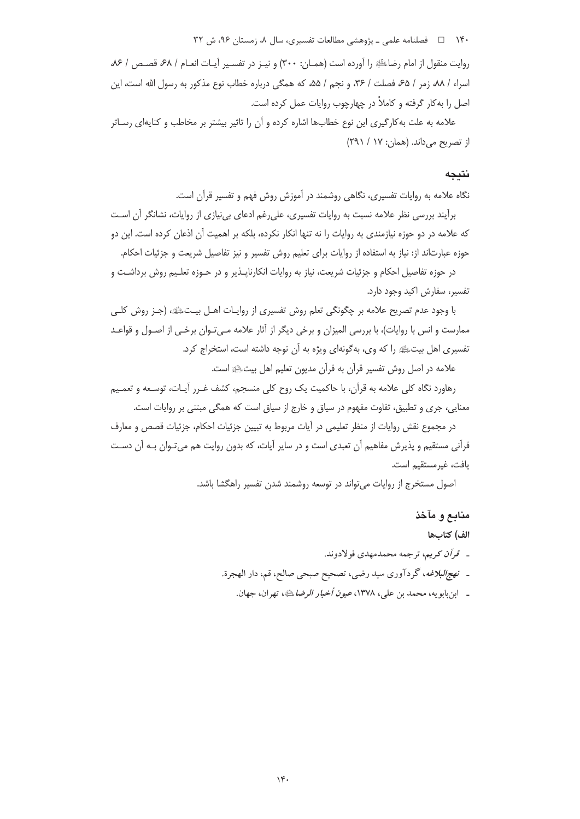۱۴۰ = هلاما معلمی ـ پژوهشی مطالعات تفسیری، سال ۸، زمستان ۹۶، ش ۳۲

روايت منقول از امام رضاء الله را آورده است (همـان: ٣٠٠) و نيـز در تفسـير آيـات انعـام / ۶۸، قصـص / ٧۶، اسراء / ٨٨، زمر / ۶۵، فصلت / ٣۶، و نجم / ۵۵، که همگی درباره خطاب نوع مذکور به رسول الله است، این اصل را به کار گرفته و کاملاً در چهارچوب روایات عمل کرده است.

علامه به علت به کارگیری این نوع خطابها اشاره کرده و آن را تاثیر بیشتر بر مخاطب و کنایهای رسـاتر از تصریح می داند. (همان: ١٧ / ٢٩١)

#### نتىجە

نگاه علامه به روایات تفسیری، نگاهی روشمند در آموزش روش فهم و تفسیر قرآن است.

برآیند بررسی نظر علامه نسبت به روایات تفسیری، علی رغم ادعای بی نیازی از روایات، نشانگر آن است که علامه در دو حوزه نیازمندی به روایات را نه تنها انکار نکرده، بلکه بر اهمیت آن اذعان کرده است. این دو حوزه عبارتاند از: نیاز به استفاده از روایات برای تعلیم روش تفسیر و نیز تفاصیل شریعت و جزئیات احکام.

در حوزه تفاصیل احکام و جزئیات شریعت، نیاز به روایات انکارنایــذیر و در حــوزه تعلــیم روش برداشــت و تفسیر، سفارش اکید وجود دارد.

با وجود عدم تصریح علامه بر چگونگی تعلم روش تفسیری از روایـات اهـل بیـتﷺ، (جـز روش كلـی ممارست و انس با روایات)، با بررسی المیزان و برخی دیگر از آثار علامه مـیتـوان برخـی از اصـول و قواعـد تفسیری اهل بیتﷺ را که وی، بهگونهای ویژه به آن توجه داشته است، استخراج کرد.

علامه در اصل روش تفسیر قرآن به قرآن مدیون تعلیم اهل بیتﷺ است.

رهاورد نگاه کلی علامه به قرآن، با حاکمیت یک روح کلی منسجم، کشف غـرر آیـات، توسـعه و تعمـیم معنایی، جری و تطبیق، تفاوت مفهوم در سیاق و خارج از سیاق است که همگی مبتنی بر روایات است.

در مجموع نقش روايات از منظر تعليمي در آيات مربوط به تبيين جزئيات احكام، جزئيات قصص و معارف قرآنی مستقیم و پذیرش مفاهیم آن تعبدی است و در سایر آیات، که بدون روایت هم میتوان بـه آن دسـت يافت، غيرمستقيم است.

اصول مستخرج از روايات مي تواند در توسعه روشمند شدن تفسير راهگشا باشد.

# منابع و مآخذ

الف) كتابها

- ـ ق*وآن كريم*، ترجمه محمدمهدي فولادوند.
- ـ نهج البلاغه، گردآوري سيد رضي، تصحيح صبحي صالح، قم، دار الهجرة.
	- \_ ابن بابو يه، محمد بن علي، ١٣٧٨، *عيون أخبار الرضا* ﷺ، تهران، جهان.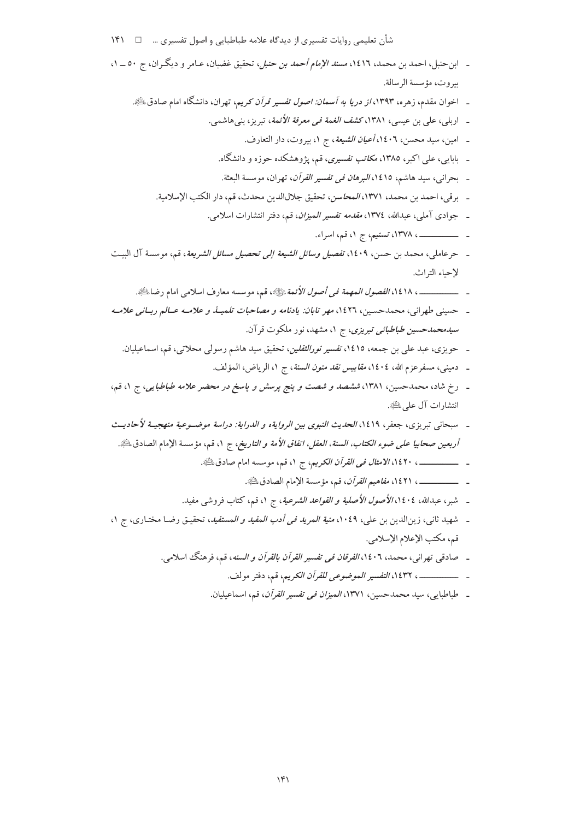|  | شأن تعلیمی روایات تفسیری از دیدگاه علامه طباطبایی و اصول تفسیری … □ ١۴١ |
|--|-------------------------------------------------------------------------|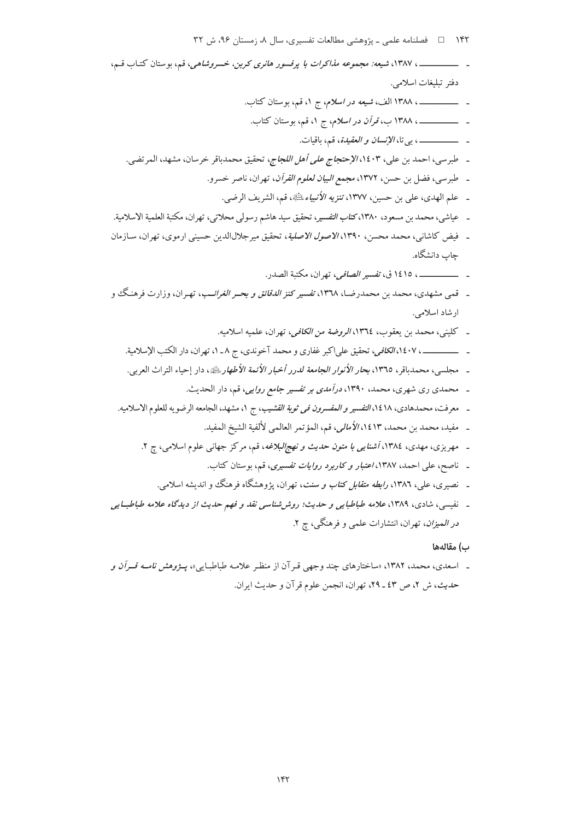۱۴۲ = هسلنامه علمی ـ پژوهشی مطالعات تفسیری، سال ۸، زمستان ۹۶، ش ۳۲

\_\_ ، ١٣٨٧، شيعه: مجموعه مذاكرات با پرفسور هانري كربن، خسروشاهي، قم، بوستان كتـاب قـم، دفتر تبليغات اسلامي. ـ ــــــــــــــــــــــ ، بي تا، *الإنسان و العقيدة*، قم، باقيات. ـ طبر سبي، احمد بن علي، ١٤٠٣، *الإحتجاج على أهل اللجاج*، تحقيق محمدباقر خرسان، مشهد، المرتضى. ـ طبرسي، فضل بن حسن، ١٣٧٢، مجمع *البيان لعلوم القرآن*، تهران، ناصر خسرو. \_ علم الهدى، على بن حسين، ١٣٧٧، تنزيه الأنبياء ﷺ، قم، الشريف الرضي. ـ عياشي، محمد بن مسعود، ١٣٨٠، *كتاب التفسير، تحقيق سيد هاشم رسولي محلاتي، تهران، مكتبة العلمية الاسلامية.* ـ فيض كاشاني، محمد محسن، ١٣٩٠، *الاصول الاصلية*، تحقيق ميرجلالالدين حسيني ارموي، تهران، سـازمان جاب دانشگاه. \_ \_\_\_\_\_\_\_\_\_\_\_، ١٤١٥ ق، *تفسير الصافي*، تهران، مكتبة الصدر. \_ قمي مشهدي، محمد بن محمدرضـا، ١٣٦٨، تفسير كنز *الدقائق و بحـر الغرائــب*، تهـران، وزارت فرهنگ و ار شاد اسلامی. ـ كليني، محمد بن يعقوب، ١٣٦٤، *الروضة من الكافي،* تهران، علميه اسلاميه. ـ ــــــــــــــــ ، ١٤٠٧، *الكافي*، تحقيق علىاكبر غفاري و محمد آخوندي، ج ٨ ـ ١، تهران، دار الكتب الإسلامية. \_ مجلسي، محمدباقر، ١٣٦٥، بح*ار الأنوار الجامعة لدرر أخبار الأئمة الأطهار بِبِيَّةٍ، دار إحياء التراث العربي.* \_ محمدی ری شهری، محمد، ۱۳۹۰، *درآمدی بر تفسیر جامع روایی،* قم، دار الحدیث. ـ معرفت، محمدهادي، ١٤١٨/التفسير و *المفسرون في ثوبة القشيب*، ج ١، مشهد، الجامعه الرضويه للعلوم الاسلاميه. ـ مفيد، محمد بن محمد، ١٤١٣، الأم*الي*، قم، المؤتمر العالمي لألفية الشيخ المفيد. ـ مهریزی، مهدی، ۱۳۸٤، *آشنایی با متون حدیث و نهج البلاغه*، قم، مرکز جهانی علوم اسلامی، چ ۲. ـ ناصح، علي احمد، ١٣٨٧، *اعتبار و كاربرد روايات تفسيري*، قم، بوستان كتاب. ـ نصبري، علي، ١٣٨٦، ر*ابطه متقابل كتاب و سنت*، تهران، يژوهشگاه فرهنگ و انديشه اسلامي.

ـ نفیسی، شادی، ۱۳۸۹، علامه طباطبایی و حدیث؛ روش شناسی نقد و فهم حدیث از دیدگاه علامه طباطبایی *در المیزان*، تهران، انتشارات علمی و فرهنگی، چ ۲.

#### ب) مقالهها

ـ اسعدی، محمد، ۱۳۸۲، «ساختارهای چند وجهی قـرآن از منظـر علامـه طباطبـایی»، پــژ*وهش نامــه قــرآن و* حديث، ش ٢، ص ٤٣ ـ ٢٩، تهران، انجمن علوم قرآن و حديث ايران.